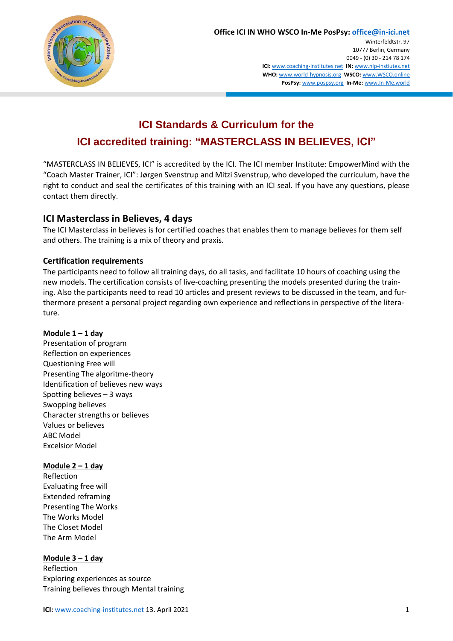

# **ICI Standards & Curriculum for the ICI accredited training: "MASTERCLASS IN BELIEVES, ICI"**

"MASTERCLASS IN BELIEVES, ICI" is accredited by the ICI. The ICI member Institute: EmpowerMind with the "Coach Master Trainer, ICI": Jørgen Svenstrup and Mitzi Svenstrup, who developed the curriculum, have the right to conduct and seal the certificates of this training with an ICI seal. If you have any questions, please contact them directly.

## **ICI Masterclass in Believes, 4 days**

The ICI Masterclass in believes is for certified coaches that enables them to manage believes for them self and others. The training is a mix of theory and praxis.

## **Certification requirements**

The participants need to follow all training days, do all tasks, and facilitate 10 hours of coaching using the new models. The certification consists of live-coaching presenting the models presented during the training. Also the participants need to read 10 articles and present reviews to be discussed in the team, and furthermore present a personal project regarding own experience and reflections in perspective of the literature.

## **Module 1 – 1 day**

Presentation of program Reflection on experiences Questioning Free will Presenting The algoritme-theory Identification of believes new ways Spotting believes – 3 ways Swopping believes Character strengths or believes Values or believes ABC Model Excelsior Model

#### **Module 2 – 1 day**

Reflection Evaluating free will Extended reframing Presenting The Works The Works Model The Closet Model The Arm Model

#### **Module 3 – 1 day**

Reflection Exploring experiences as source Training believes through Mental training